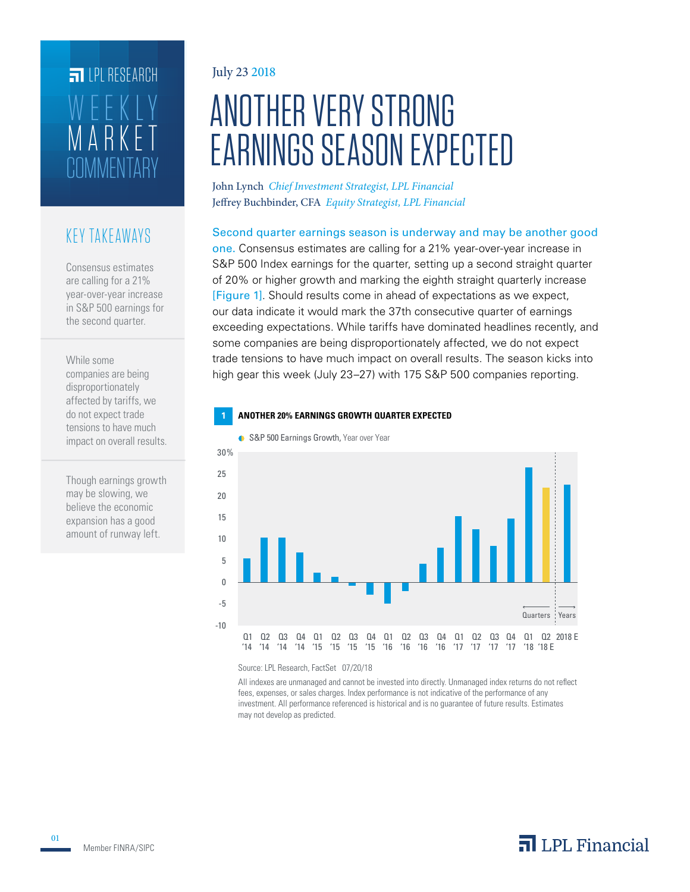# **COMMENTARY**  $\overline{R}$  R WEEKLY **FILPI RESEARCH**

### KEY TAKEAWAYS

Consensus estimates are calling for a 21% year-over-year increase in S&P 500 earnings for the second quarter.

While some companies are being disproportionately affected by tariffs, we do not expect trade tensions to have much impact on overall results.

Though earnings growth may be slowing, we believe the economic expansion has a good amount of runway left.

#### July 23 2018

# ANOTHER VERY STRONG EARNINGS SEASON EXPECTED

John Lynch *Chief Investment Strategist, LPL Financial* Jeffrey Buchbinder, CFA *Equity Strategist, LPL Financial*

#### Second quarter earnings season is underway and may be another good

one. Consensus estimates are calling for a 21% year-over-year increase in S&P 500 Index earnings for the quarter, setting up a second straight quarter of 20% or higher growth and marking the eighth straight quarterly increase [Figure 1]. Should results come in ahead of expectations as we expect, our data indicate it would mark the 37th consecutive quarter of earnings exceeding expectations. While tariffs have dominated headlines recently, and some companies are being disproportionately affected, we do not expect trade tensions to have much impact on overall results. The season kicks into high gear this week (July 23–27) with 175 S&P 500 companies reporting.





Source: LPL Research, FactSet 07/20/18

All indexes are unmanaged and cannot be invested into directly. Unmanaged index returns do not reflect fees, expenses, or sales charges. Index performance is not indicative of the performance of any investment. All performance referenced is historical and is no guarantee of future results. Estimates may not develop as predicted.

01

# $\overline{\mathbf{a}}$  LPL Financial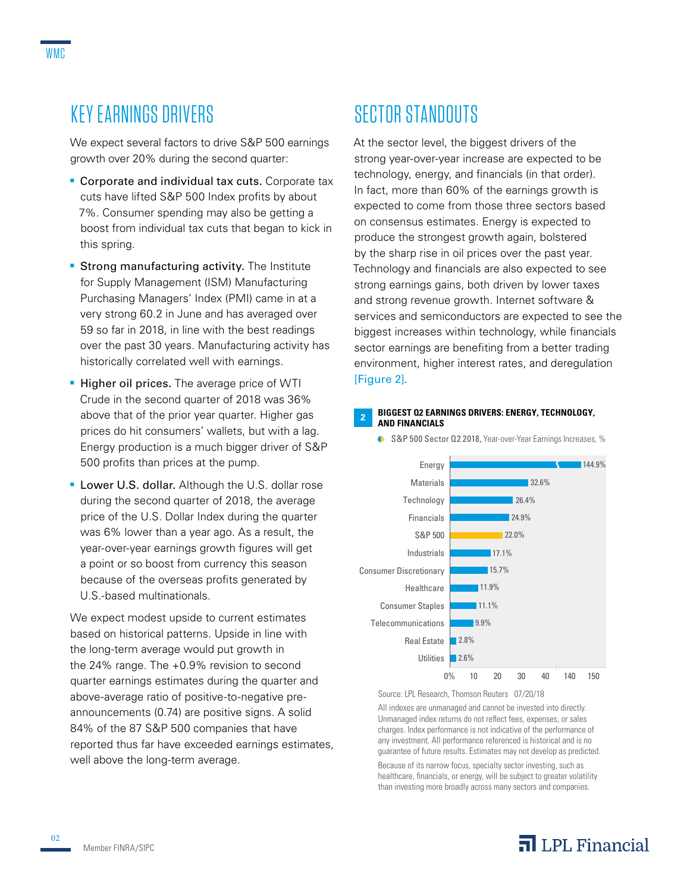# KEY EARNINGS DRIVERS

We expect several factors to drive S&P 500 earnings growth over 20% during the second quarter:

- Corporate and individual tax cuts. Corporate tax cuts have lifted S&P 500 Index profits by about 7%. Consumer spending may also be getting a boost from individual tax cuts that began to kick in this spring.
- **Strong manufacturing activity.** The Institute for Supply Management (ISM) Manufacturing Purchasing Managers' Index (PMI) came in at a very strong 60.2 in June and has averaged over 59 so far in 2018, in line with the best readings over the past 30 years. Manufacturing activity has historically correlated well with earnings.
- Higher oil prices. The average price of WTI Crude in the second quarter of 2018 was 36% above that of the prior year quarter. Higher gas prices do hit consumers' wallets, but with a lag. Energy production is a much bigger driver of S&P 500 profits than prices at the pump.
- **Lower U.S. dollar.** Although the U.S. dollar rose during the second quarter of 2018, the average price of the U.S. Dollar Index during the quarter was 6% lower than a year ago. As a result, the year-over-year earnings growth figures will get a point or so boost from currency this season because of the overseas profits generated by U.S.-based multinationals.

We expect modest upside to current estimates based on historical patterns. Upside in line with the long-term average would put growth in the 24% range. The +0.9% revision to second quarter earnings estimates during the quarter and above-average ratio of positive-to-negative preannouncements (0.74) are positive signs. A solid 84% of the 87 S&P 500 companies that have reported thus far have exceeded earnings estimates, well above the long-term average.

# SECTOR STANDOUTS

At the sector level, the biggest drivers of the strong year-over-year increase are expected to be technology, energy, and financials (in that order). In fact, more than 60% of the earnings growth is expected to come from those three sectors based on consensus estimates. Energy is expected to produce the strongest growth again, bolstered by the sharp rise in oil prices over the past year. Technology and financials are also expected to see strong earnings gains, both driven by lower taxes and strong revenue growth. Internet software & services and semiconductors are expected to see the biggest increases within technology, while financials sector earnings are benefiting from a better trading environment, higher interest rates, and deregulation [Figure 2].

#### **<sup>2</sup> BIGGEST Q2 EARNINGS DRIVERS: ENERGY, TECHNOLOGY, AND FINANCIALS**



**G** S&P 500 Sector Q2 2018, Year-over-Year Earnings Increases, %

Source: LPL Research, Thomson Reuters 07/20/18

All indexes are unmanaged and cannot be invested into directly. Unmanaged index returns do not reflect fees, expenses, or sales charges. Index performance is not indicative of the performance of any investment. All performance referenced is historical and is no guarantee of future results. Estimates may not develop as predicted.

Because of its narrow focus, specialty sector investing, such as healthcare, financials, or energy, will be subject to greater volatility than investing more broadly across many sectors and companies.

### $\overline{\mathbf{a}}$  LPL Financial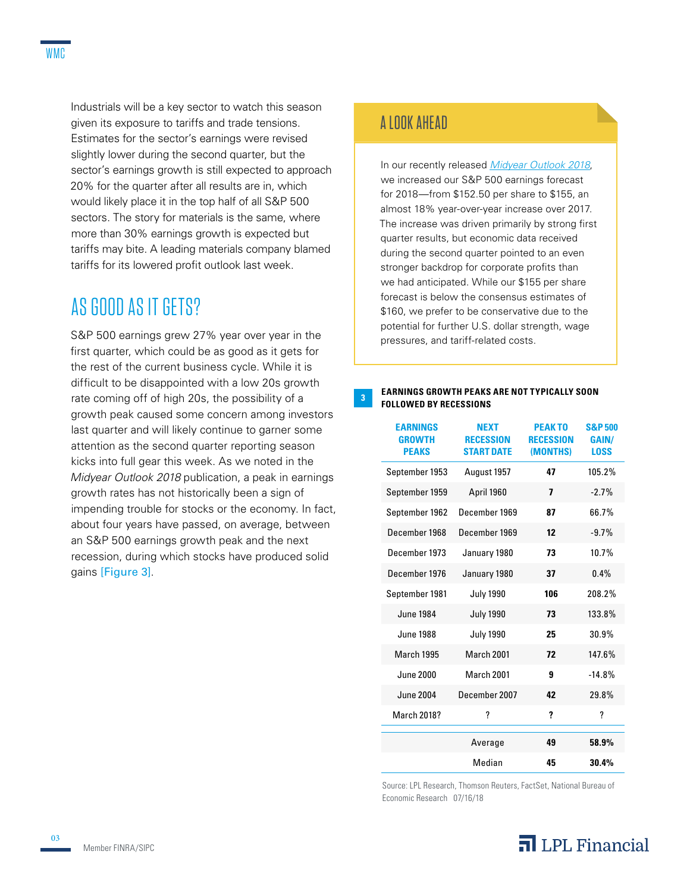Industrials will be a key sector to watch this season given its exposure to tariffs and trade tensions. Estimates for the sector's earnings were revised slightly lower during the second quarter, but the sector's earnings growth is still expected to approach 20% for the quarter after all results are in, which would likely place it in the top half of all S&P 500 sectors. The story for materials is the same, where more than 30% earnings growth is expected but tariffs may bite. A leading materials company blamed tariffs for its lowered profit outlook last week.

## AS GOOD AS IT GETS?

S&P 500 earnings grew 27% year over year in the first quarter, which could be as good as it gets for the rest of the current business cycle. While it is difficult to be disappointed with a low 20s growth rate coming off of high 20s, the possibility of a growth peak caused some concern among investors last quarter and will likely continue to garner some attention as the second quarter reporting season kicks into full gear this week. As we noted in the *Midyear Outlook 2018* publication, a peak in earnings growth rates has not historically been a sign of impending trouble for stocks or the economy. In fact, about four years have passed, on average, between an S&P 500 earnings growth peak and the next recession, during which stocks have produced solid gains [Figure 3].

#### A LOOK AHEAD

In our recently released *Midyear Outlook 2018*, we increased our S&P 500 earnings forecast for 2018—from \$152.50 per share to \$155, an almost 18% year-over-year increase over 2017. The increase was driven primarily by strong first quarter results, but economic data received during the second quarter pointed to an even stronger backdrop for corporate profits than we had anticipated. While our \$155 per share forecast is below the consensus estimates of \$160, we prefer to be conservative due to the potential for further U.S. dollar strength, wage pressures, and tariff-related costs.

#### **EARNINGS GROWTH PEAKS ARE NOT TYPICALLY SOON FOLLOWED BY RECESSIONS**

| <b>EARNINGS</b><br><b>GROWTH</b><br><b>PEAKS</b> | <b>NEXT</b><br><b>RECESSION</b><br><b>START DATE</b> | <b>PEAKTO</b><br><b>RECESSION</b><br>(MONTHS) | <b>S&amp;P500</b><br><b>GAIN/</b><br><b>LOSS</b> |
|--------------------------------------------------|------------------------------------------------------|-----------------------------------------------|--------------------------------------------------|
| September 1953                                   | August 1957                                          | 47                                            | 105.2%                                           |
| September 1959                                   | April 1960                                           | 7                                             | $-2.7%$                                          |
| September 1962                                   | December 1969                                        | 87                                            | 66.7%                                            |
| December 1968                                    | December 1969                                        | 12                                            | $-9.7%$                                          |
| December 1973                                    | January 1980                                         | 73                                            | 10.7%                                            |
| December 1976                                    | January 1980                                         | 37                                            | 0.4%                                             |
| September 1981                                   | <b>July 1990</b>                                     | 106                                           | 208.2%                                           |
| <b>June 1984</b>                                 | <b>July 1990</b>                                     | 73                                            | 133.8%                                           |
| <b>June 1988</b>                                 | <b>July 1990</b>                                     | 25                                            | 30.9%                                            |
| <b>March 1995</b>                                | March 2001                                           | 72                                            | 147.6%                                           |
| June 2000                                        | March 2001                                           | 9                                             | $-14.8%$                                         |
| <b>June 2004</b>                                 | December 2007                                        | 42                                            | 29.8%                                            |
| <b>March 2018?</b>                               | ?                                                    | ?                                             | ?                                                |
|                                                  | Average                                              | 49                                            | 58.9%                                            |
|                                                  | Median                                               | 45                                            | 30.4%                                            |

Source: LPL Research, Thomson Reuters, FactSet, National Bureau of Economic Research 07/16/18



03